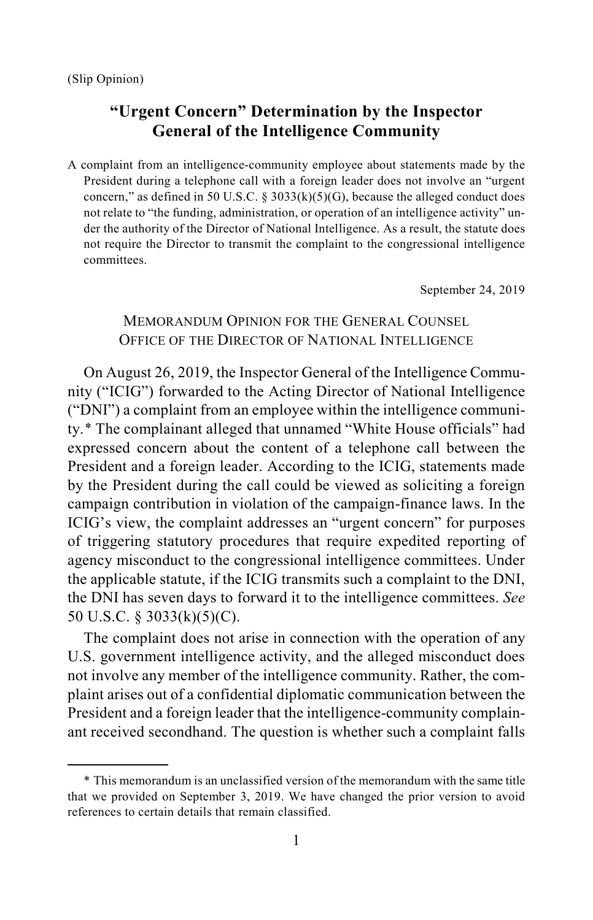$\overline{a}$ 

# **"Urgent Concern" Determination by the Inspector General of the Intelligence Community**

A complaint from an intelligence-community employee about statements made by the President during a telephone call with a foreign leader does not involve an "urgent concern," as defined in 50 U.S.C.  $\S$  3033(k)(5)(G), because the alleged conduct does not relate to "the funding, administration, or operation of an intelligence activity" under the authority of the Director of National Intelligence. As a result, the statute does not require the Director to transmit the complaint to the congressional intelligence committees.

September 24, 2019

## MEMORANDUM OPINION FOR THE GENERAL COUNSEL OFFICE OF THE DIRECTOR OF NATIONAL INTELLIGENCE

On August 26, 2019, the Inspector General of the Intelligence Community ("ICIG") forwarded to the Acting Director of National Intelligence ("DNI") a complaint from an employee within the intelligence community.[\\*](#page-0-0) The complainant alleged that unnamed "White House officials" had expressed concern about the content of a telephone call between the President and a foreign leader. According to the ICIG, statements made by the President during the call could be viewed as soliciting a foreign campaign contribution in violation of the campaign-finance laws. In the ICIG's view, the complaint addresses an "urgent concern" for purposes of triggering statutory procedures that require expedited reporting of agency misconduct to the congressional intelligence committees. Under the applicable statute, if the ICIG transmits such a complaint to the DNI, the DNI has seven days to forward it to the intelligence committees. *See* 50 U.S.C. § 3033(k)(5)(C).

The complaint does not arise in connection with the operation of any U.S. government intelligence activity, and the alleged misconduct does not involve any member of the intelligence community. Rather, the complaint arises out of a confidential diplomatic communication between the President and a foreign leader that the intelligence-community complainant received secondhand. The question is whether such a complaint falls

<span id="page-0-0"></span><sup>\*</sup> This memorandum is an unclassified version of the memorandum with the same title that we provided on September 3, 2019. We have changed the prior version to avoid references to certain details that remain classified.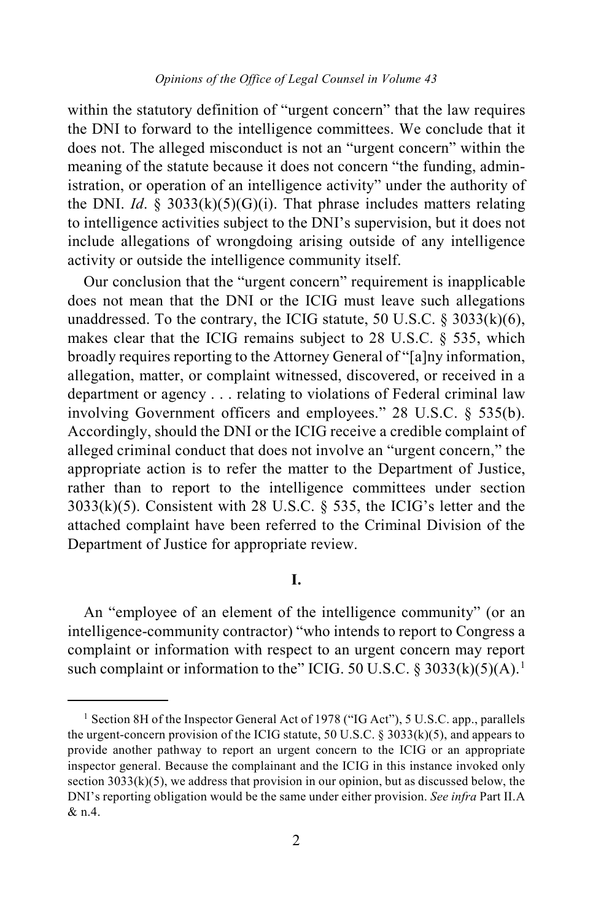within the statutory definition of "urgent concern" that the law requires the DNI to forward to the intelligence committees. We conclude that it does not. The alleged misconduct is not an "urgent concern" within the meaning of the statute because it does not concern "the funding, administration, or operation of an intelligence activity" under the authority of the DNI. *Id.* § 3033(k)(5)(G)(i). That phrase includes matters relating to intelligence activities subject to the DNI's supervision, but it does not include allegations of wrongdoing arising outside of any intelligence activity or outside the intelligence community itself.

Our conclusion that the "urgent concern" requirement is inapplicable does not mean that the DNI or the ICIG must leave such allegations unaddressed. To the contrary, the ICIG statute, 50 U.S.C.  $\S$  3033(k)(6), makes clear that the ICIG remains subject to 28 U.S.C. § 535, which broadly requires reporting to the Attorney General of "[a]ny information, allegation, matter, or complaint witnessed, discovered, or received in a department or agency . . . relating to violations of Federal criminal law involving Government officers and employees." 28 U.S.C. § 535(b). Accordingly, should the DNI or the ICIG receive a credible complaint of alleged criminal conduct that does not involve an "urgent concern," the appropriate action is to refer the matter to the Department of Justice, rather than to report to the intelligence committees under section  $3033(k)(5)$ . Consistent with 28 U.S.C. § 535, the ICIG's letter and the attached complaint have been referred to the Criminal Division of the Department of Justice for appropriate review.

### **I.**

An "employee of an element of the intelligence community" (or an intelligence-community contractor) "who intends to report to Congress a complaint or information with respect to an urgent concern may report such complaint or information to the" ICIG. 50 U.S.C. § 3033(k)(5)(A).<sup>[1](#page-1-0)</sup>

<span id="page-1-0"></span><sup>&</sup>lt;sup>1</sup> Section 8H of the Inspector General Act of 1978 ("IG Act"), 5 U.S.C. app., parallels the urgent-concern provision of the ICIG statute, 50 U.S.C.  $\S 3033(k)(5)$ , and appears to provide another pathway to report an urgent concern to the ICIG or an appropriate inspector general. Because the complainant and the ICIG in this instance invoked only section  $3033(k)(5)$ , we address that provision in our opinion, but as discussed below, the DNI's reporting obligation would be the same under either provision. *See infra* Part II.A & n[.4.](#page-4-0)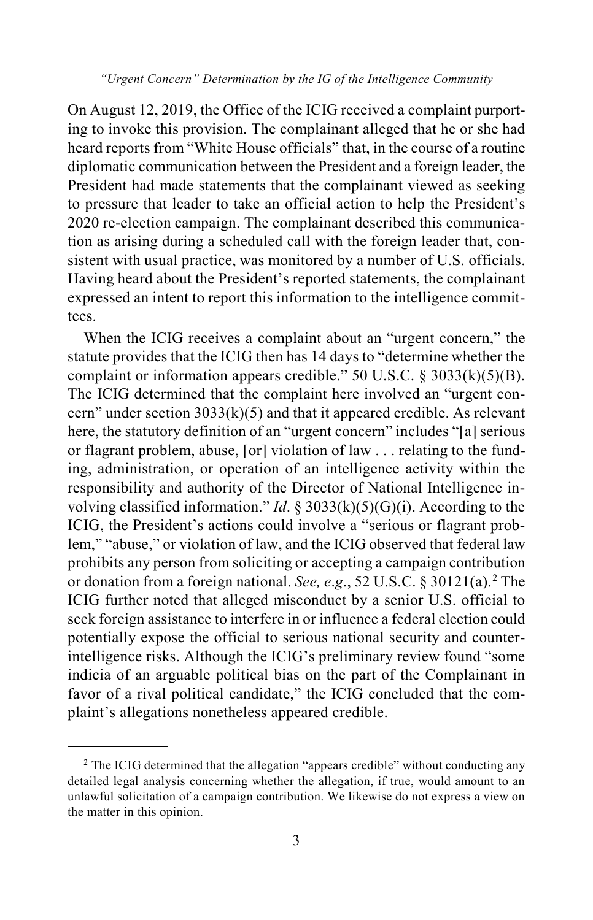On August 12, 2019, the Office of the ICIG received a complaint purporting to invoke this provision. The complainant alleged that he or she had heard reports from "White House officials" that, in the course of a routine diplomatic communication between the President and a foreign leader, the President had made statements that the complainant viewed as seeking to pressure that leader to take an official action to help the President's 2020 re-election campaign. The complainant described this communication as arising during a scheduled call with the foreign leader that, consistent with usual practice, was monitored by a number of U.S. officials. Having heard about the President's reported statements, the complainant expressed an intent to report this information to the intelligence committees.

When the ICIG receives a complaint about an "urgent concern," the statute provides that the ICIG then has 14 days to "determine whether the complaint or information appears credible." 50 U.S.C.  $\frac{83033(k)(5)}{B}$ . The ICIG determined that the complaint here involved an "urgent concern" under section  $3033(k)(5)$  and that it appeared credible. As relevant here, the statutory definition of an "urgent concern" includes "[a] serious or flagrant problem, abuse, [or] violation of law . . . relating to the funding, administration, or operation of an intelligence activity within the responsibility and authority of the Director of National Intelligence involving classified information." *Id*. § 3033(k)(5)(G)(i). According to the ICIG, the President's actions could involve a "serious or flagrant problem," "abuse," or violation of law, and the ICIG observed that federal law prohibits any person from soliciting or accepting a campaign contribution or donation from a foreign national. *See, e*.*g*., 52 U.S.C. § 30121(a). [2](#page-2-0) The ICIG further noted that alleged misconduct by a senior U.S. official to seek foreign assistance to interfere in or influence a federal election could potentially expose the official to serious national security and counterintelligence risks. Although the ICIG's preliminary review found "some indicia of an arguable political bias on the part of the Complainant in favor of a rival political candidate," the ICIG concluded that the complaint's allegations nonetheless appeared credible.

<span id="page-2-0"></span><sup>&</sup>lt;sup>2</sup> The ICIG determined that the allegation "appears credible" without conducting any detailed legal analysis concerning whether the allegation, if true, would amount to an unlawful solicitation of a campaign contribution. We likewise do not express a view on the matter in this opinion.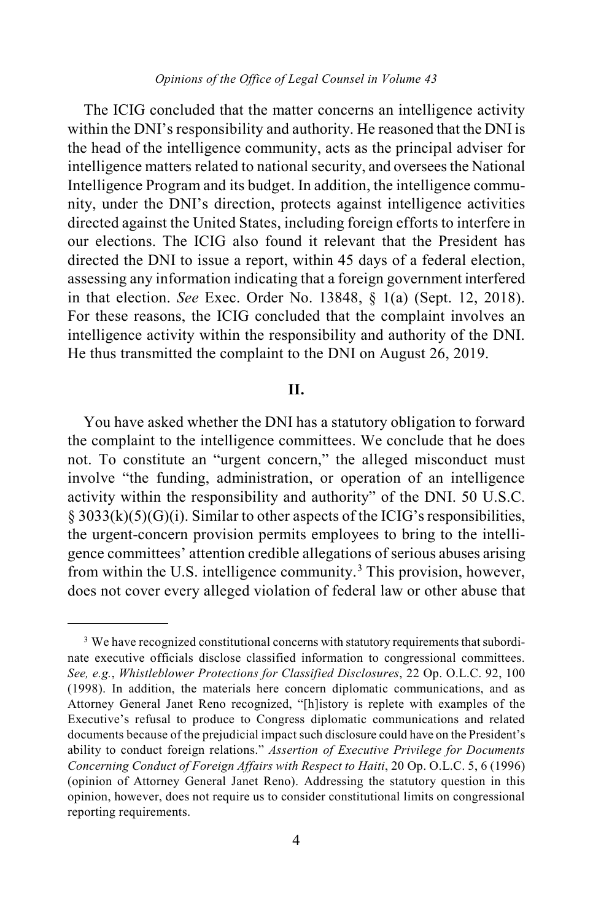*Opinions of the Office of Legal Counsel in Volume 43*

The ICIG concluded that the matter concerns an intelligence activity within the DNI's responsibility and authority. He reasoned that the DNI is the head of the intelligence community, acts as the principal adviser for intelligence matters related to national security, and oversees the National Intelligence Program and its budget. In addition, the intelligence community, under the DNI's direction, protects against intelligence activities directed against the United States, including foreign efforts to interfere in our elections. The ICIG also found it relevant that the President has directed the DNI to issue a report, within 45 days of a federal election, assessing any information indicating that a foreign government interfered in that election. *See* Exec. Order No. 13848, § 1(a) (Sept. 12, 2018). For these reasons, the ICIG concluded that the complaint involves an intelligence activity within the responsibility and authority of the DNI. He thus transmitted the complaint to the DNI on August 26, 2019.

### **II.**

You have asked whether the DNI has a statutory obligation to forward the complaint to the intelligence committees. We conclude that he does not. To constitute an "urgent concern," the alleged misconduct must involve "the funding, administration, or operation of an intelligence activity within the responsibility and authority" of the DNI. 50 U.S.C.  $\S 3033(k)(5)(G)(i)$ . Similar to other aspects of the ICIG's responsibilities, the urgent-concern provision permits employees to bring to the intelligence committees' attention credible allegations of serious abuses arising from within the U.S. intelligence community.[3](#page-3-0) This provision, however, does not cover every alleged violation of federal law or other abuse that

<span id="page-3-0"></span><sup>&</sup>lt;sup>3</sup> We have recognized constitutional concerns with statutory requirements that subordinate executive officials disclose classified information to congressional committees. *See, e.g.*, *Whistleblower Protections for Classified Disclosures*, 22 Op. O.L.C. 92, 100 (1998). In addition, the materials here concern diplomatic communications, and as Attorney General Janet Reno recognized, "[h]istory is replete with examples of the Executive's refusal to produce to Congress diplomatic communications and related documents because of the prejudicial impact such disclosure could have on the President's ability to conduct foreign relations." *Assertion of Executive Privilege for Documents Concerning Conduct of Foreign Affairs with Respect to Haiti*, 20 Op. O.L.C. 5, 6 (1996) (opinion of Attorney General Janet Reno). Addressing the statutory question in this opinion, however, does not require us to consider constitutional limits on congressional reporting requirements.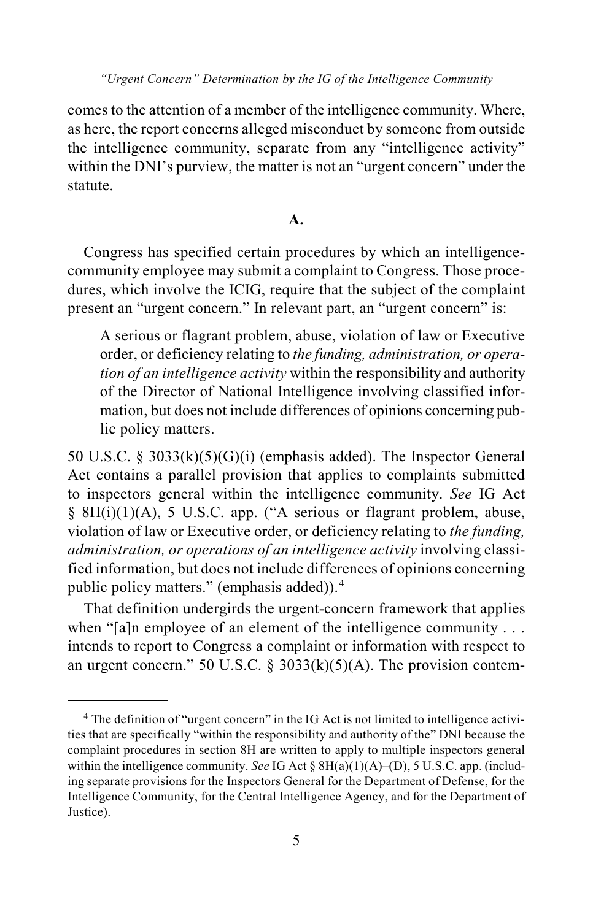comes to the attention of a member of the intelligence community. Where, as here, the report concerns alleged misconduct by someone from outside the intelligence community, separate from any "intelligence activity" within the DNI's purview, the matter is not an "urgent concern" under the statute.

### **A.**

Congress has specified certain procedures by which an intelligencecommunity employee may submit a complaint to Congress. Those procedures, which involve the ICIG, require that the subject of the complaint present an "urgent concern." In relevant part, an "urgent concern" is:

A serious or flagrant problem, abuse, violation of law or Executive order, or deficiency relating to *the funding, administration, or operation of an intelligence activity* within the responsibility and authority of the Director of National Intelligence involving classified information, but does not include differences of opinions concerning public policy matters.

50 U.S.C. § 3033 $(k)(5)(G)(i)$  (emphasis added). The Inspector General Act contains a parallel provision that applies to complaints submitted to inspectors general within the intelligence community. *See* IG Act § 8H(i)(1)(A), 5 U.S.C. app. ("A serious or flagrant problem, abuse, violation of law or Executive order, or deficiency relating to *the funding, administration, or operations of an intelligence activity* involving classified information, but does not include differences of opinions concerning public policy matters." (emphasis added)).<sup>[4](#page-4-1)</sup>

<span id="page-4-0"></span>That definition undergirds the urgent-concern framework that applies when "[a]n employee of an element of the intelligence community . . . intends to report to Congress a complaint or information with respect to an urgent concern." 50 U.S.C. § 3033(k)(5)(A). The provision contem-

<span id="page-4-1"></span><sup>&</sup>lt;sup>4</sup> The definition of "urgent concern" in the IG Act is not limited to intelligence activities that are specifically "within the responsibility and authority of the" DNI because the complaint procedures in section 8H are written to apply to multiple inspectors general within the intelligence community. *See* IG Act § 8H(a)(1)(A)–(D), 5 U.S.C. app. (including separate provisions for the Inspectors General for the Department of Defense, for the Intelligence Community, for the Central Intelligence Agency, and for the Department of Justice).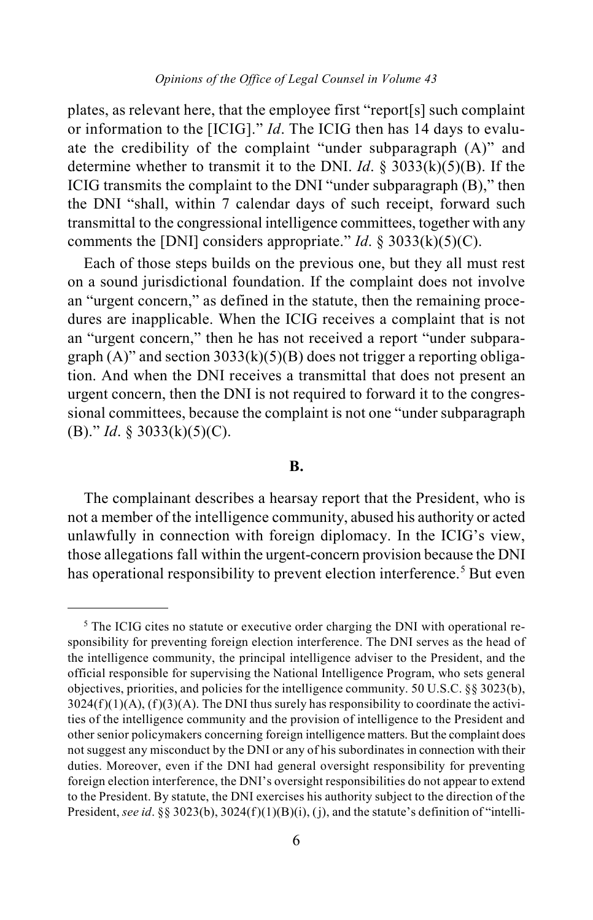plates, as relevant here, that the employee first "report[s] such complaint or information to the [ICIG]." *Id*. The ICIG then has 14 days to evaluate the credibility of the complaint "under subparagraph (A)" and determine whether to transmit it to the DNI. *Id*. § 3033(k)(5)(B). If the ICIG transmits the complaint to the DNI "under subparagraph (B)," then the DNI "shall, within 7 calendar days of such receipt, forward such transmittal to the congressional intelligence committees, together with any comments the [DNI] considers appropriate." *Id*. § 3033(k)(5)(C).

Each of those steps builds on the previous one, but they all must rest on a sound jurisdictional foundation. If the complaint does not involve an "urgent concern," as defined in the statute, then the remaining procedures are inapplicable. When the ICIG receives a complaint that is not an "urgent concern," then he has not received a report "under subparagraph  $(A)$ " and section 3033 $(k)(5)(B)$  does not trigger a reporting obligation. And when the DNI receives a transmittal that does not present an urgent concern, then the DNI is not required to forward it to the congressional committees, because the complaint is not one "under subparagraph (B)." *Id*. § 3033(k)(5)(C).

#### **B.**

The complainant describes a hearsay report that the President, who is not a member of the intelligence community, abused his authority or acted unlawfully in connection with foreign diplomacy. In the ICIG's view, those allegations fall within the urgent-concern provision because the DNI has operational responsibility to prevent election interference.<sup>[5](#page-5-0)</sup> But even

<span id="page-5-0"></span><sup>&</sup>lt;sup>5</sup> The ICIG cites no statute or executive order charging the DNI with operational responsibility for preventing foreign election interference. The DNI serves as the head of the intelligence community, the principal intelligence adviser to the President, and the official responsible for supervising the National Intelligence Program, who sets general objectives, priorities, and policies for the intelligence community. 50 U.S.C. §§ 3023(b),  $3024(f)(1)(A)$ ,  $(f)(3)(A)$ . The DNI thus surely has responsibility to coordinate the activities of the intelligence community and the provision of intelligence to the President and other senior policymakers concerning foreign intelligence matters. But the complaint does not suggest any misconduct by the DNI or any of his subordinates in connection with their duties. Moreover, even if the DNI had general oversight responsibility for preventing foreign election interference, the DNI's oversight responsibilities do not appear to extend to the President. By statute, the DNI exercises his authority subject to the direction of the President, *see id.* §§ 3023(b), 3024(f)(1)(B)(i), (j), and the statute's definition of "intelli-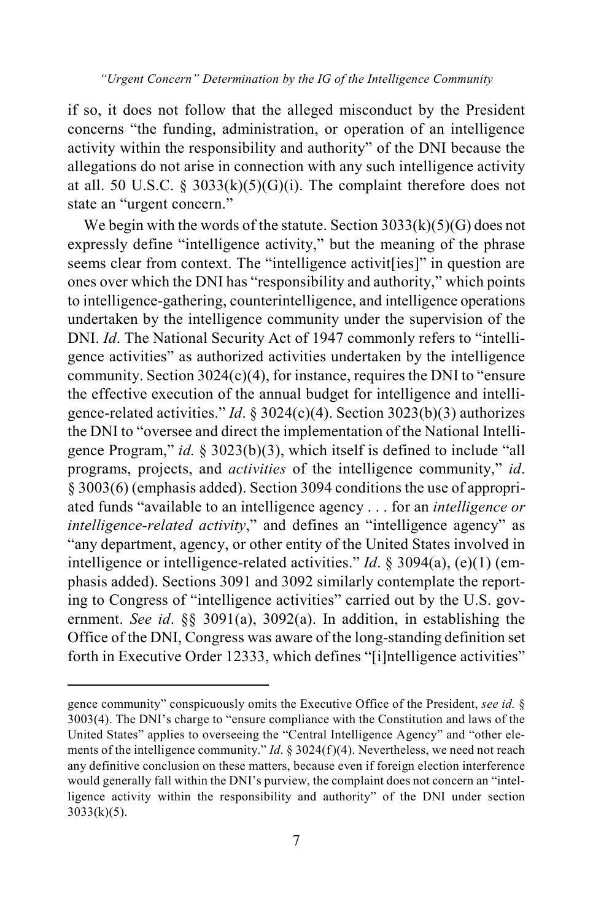if so, it does not follow that the alleged misconduct by the President concerns "the funding, administration, or operation of an intelligence activity within the responsibility and authority" of the DNI because the allegations do not arise in connection with any such intelligence activity at all. 50 U.S.C. § 3033(k)(5)(G)(i). The complaint therefore does not state an "urgent concern."

We begin with the words of the statute. Section  $3033(k)(5)(G)$  does not expressly define "intelligence activity," but the meaning of the phrase seems clear from context. The "intelligence activit [ies]" in question are ones over which the DNI has "responsibility and authority," which points to intelligence-gathering, counterintelligence, and intelligence operations undertaken by the intelligence community under the supervision of the DNI. *Id*. The National Security Act of 1947 commonly refers to "intelligence activities" as authorized activities undertaken by the intelligence community. Section 3024(c)(4), for instance, requires the DNI to "ensure the effective execution of the annual budget for intelligence and intelligence-related activities." *Id*. § 3024(c)(4). Section 3023(b)(3) authorizes the DNI to "oversee and direct the implementation of the National Intelligence Program," *id.* § 3023(b)(3), which itself is defined to include "all programs, projects, and *activities* of the intelligence community," *id*. § 3003(6) (emphasis added). Section 3094 conditions the use of appropriated funds "available to an intelligence agency . . . for an *intelligence or intelligence-related activity*," and defines an "intelligence agency" as "any department, agency, or other entity of the United States involved in intelligence or intelligence-related activities." *Id*. § 3094(a), (e)(1) (emphasis added). Sections 3091 and 3092 similarly contemplate the reporting to Congress of "intelligence activities" carried out by the U.S. government. *See id*. §§ 3091(a), 3092(a). In addition, in establishing the Office of the DNI, Congress was aware of the long-standing definition set forth in Executive Order 12333, which defines "[i]ntelligence activities"

 $\overline{a}$ 

gence community" conspicuously omits the Executive Office of the President, *see id.* § 3003(4). The DNI's charge to "ensure compliance with the Constitution and laws of the United States" applies to overseeing the "Central Intelligence Agency" and "other elements of the intelligence community." *Id*. § 3024(f)(4). Nevertheless, we need not reach any definitive conclusion on these matters, because even if foreign election interference would generally fall within the DNI's purview, the complaint does not concern an "intelligence activity within the responsibility and authority" of the DNI under section  $3033(k)(5)$ .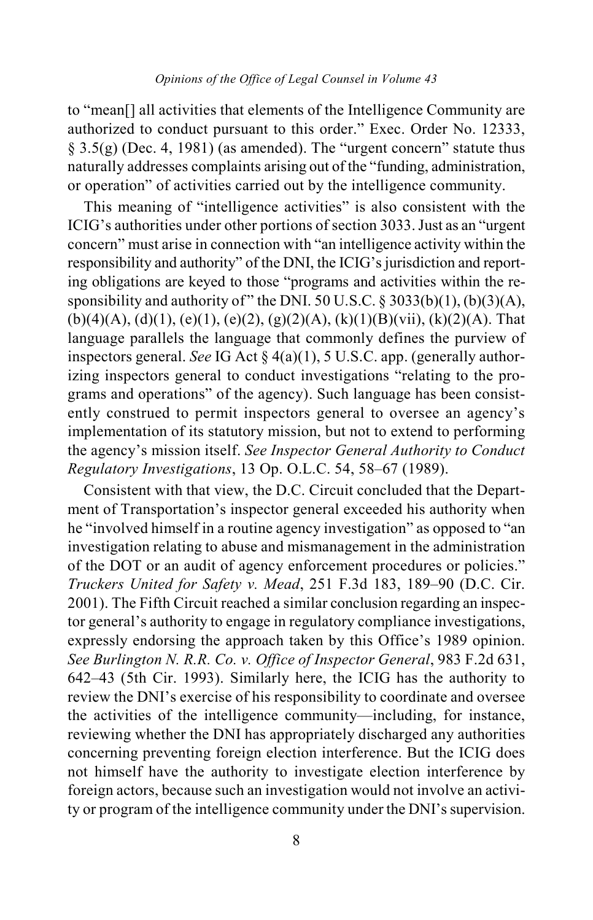to "mean[] all activities that elements of the Intelligence Community are authorized to conduct pursuant to this order." Exec. Order No. 12333,  $\S$  3.5(g) (Dec. 4, 1981) (as amended). The "urgent concern" statute thus naturally addresses complaints arising out of the "funding, administration, or operation" of activities carried out by the intelligence community.

This meaning of "intelligence activities" is also consistent with the ICIG's authorities under other portions of section 3033. Just as an "urgent concern" must arise in connection with "an intelligence activity within the responsibility and authority" of the DNI, the ICIG's jurisdiction and reporting obligations are keyed to those "programs and activities within the responsibility and authority of " the DNI. 50 U.S.C.  $\S$  3033(b)(1), (b)(3)(A),  $(b)(4)(A), (d)(1), (e)(1), (e)(2), (g)(2)(A), (k)(1)(B)(vii), (k)(2)(A)$ . That language parallels the language that commonly defines the purview of inspectors general. *See* IG Act § 4(a)(1), 5 U.S.C. app. (generally authorizing inspectors general to conduct investigations "relating to the programs and operations" of the agency). Such language has been consistently construed to permit inspectors general to oversee an agency's implementation of its statutory mission, but not to extend to performing the agency's mission itself. *See Inspector General Authority to Conduct Regulatory Investigations*, 13 Op. O.L.C. 54, 58–67 (1989).

Consistent with that view, the D.C. Circuit concluded that the Department of Transportation's inspector general exceeded his authority when he "involved himself in a routine agency investigation" as opposed to "an investigation relating to abuse and mismanagement in the administration of the DOT or an audit of agency enforcement procedures or policies." *Truckers United for Safety v. Mead*, 251 F.3d 183, 189–90 (D.C. Cir. 2001). The Fifth Circuit reached a similar conclusion regarding an inspector general's authority to engage in regulatory compliance investigations, expressly endorsing the approach taken by this Office's 1989 opinion. *See Burlington N. R.R. Co. v. Office of Inspector General*, 983 F.2d 631, 642–43 (5th Cir. 1993). Similarly here, the ICIG has the authority to review the DNI's exercise of his responsibility to coordinate and oversee the activities of the intelligence community—including, for instance, reviewing whether the DNI has appropriately discharged any authorities concerning preventing foreign election interference. But the ICIG does not himself have the authority to investigate election interference by foreign actors, because such an investigation would not involve an activity or program of the intelligence community under the DNI's supervision.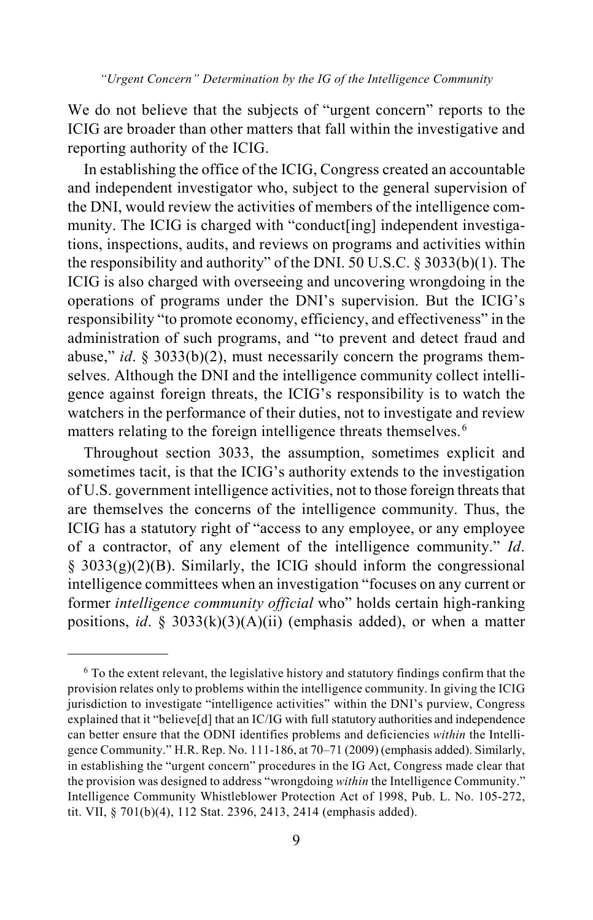We do not believe that the subjects of "urgent concern" reports to the ICIG are broader than other matters that fall within the investigative and reporting authority of the ICIG.

In establishing the office of the ICIG, Congress created an accountable and independent investigator who, subject to the general supervision of the DNI, would review the activities of members of the intelligence community. The ICIG is charged with "conduct[ing] independent investigations, inspections, audits, and reviews on programs and activities within the responsibility and authority" of the DNI. 50 U.S.C. § 3033(b)(1). The ICIG is also charged with overseeing and uncovering wrongdoing in the operations of programs under the DNI's supervision. But the ICIG's responsibility "to promote economy, efficiency, and effectiveness" in the administration of such programs, and "to prevent and detect fraud and abuse," *id*. § 3033(b)(2), must necessarily concern the programs themselves. Although the DNI and the intelligence community collect intelligence against foreign threats, the ICIG's responsibility is to watch the watchers in the performance of their duties, not to investigate and review matters relating to the foreign intelligence threats themselves.<sup>[6](#page-8-0)</sup>

Throughout section 3033, the assumption, sometimes explicit and sometimes tacit, is that the ICIG's authority extends to the investigation of U.S. government intelligence activities, not to those foreign threats that are themselves the concerns of the intelligence community. Thus, the ICIG has a statutory right of "access to any employee, or any employee of a contractor, of any element of the intelligence community." *Id*.  $§$  3033(g)(2)(B). Similarly, the ICIG should inform the congressional intelligence committees when an investigation "focuses on any current or former *intelligence community official* who" holds certain high-ranking positions, *id*. § 3033(k)(3)(A)(ii) (emphasis added), or when a matter

<span id="page-8-0"></span> <sup>6</sup> To the extent relevant, the legislative history and statutory findings confirm that the provision relates only to problems within the intelligence community. In giving the ICIG jurisdiction to investigate "intelligence activities" within the DNI's purview, Congress explained that it "believe[d] that an IC/IG with full statutory authorities and independence can better ensure that the ODNI identifies problems and deficiencies *within* the Intelligence Community." H.R. Rep. No. 111-186, at 70–71 (2009) (emphasis added). Similarly, in establishing the "urgent concern" procedures in the IG Act, Congress made clear that the provision was designed to address "wrongdoing *within* the Intelligence Community." Intelligence Community Whistleblower Protection Act of 1998, Pub. L. No. 105-272, tit. VII, § 701(b)(4), 112 Stat. 2396, 2413, 2414 (emphasis added).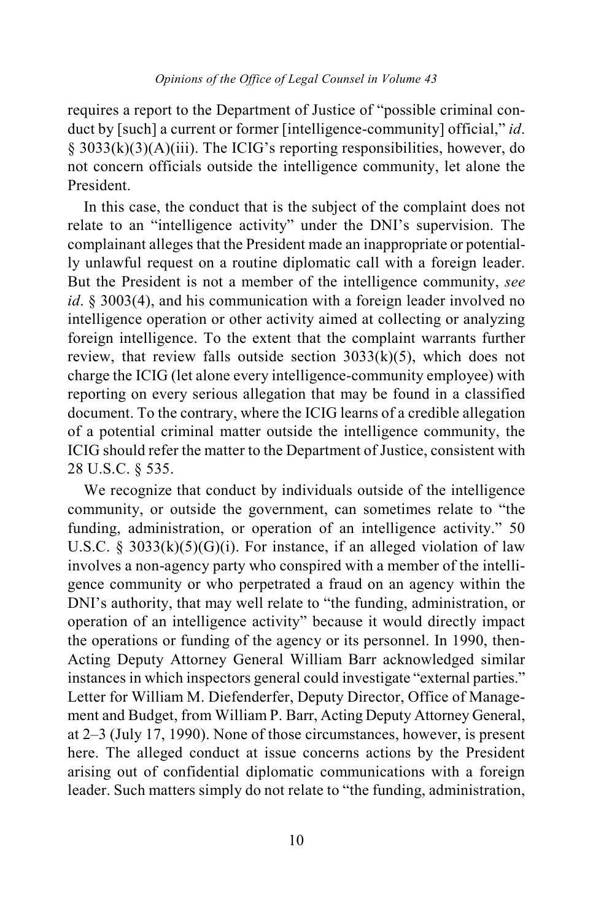requires a report to the Department of Justice of "possible criminal conduct by [such] a current or former [intelligence-community] official," *id*. § 3033(k)(3)(A)(iii). The ICIG's reporting responsibilities, however, do not concern officials outside the intelligence community, let alone the President.

In this case, the conduct that is the subject of the complaint does not relate to an "intelligence activity" under the DNI's supervision. The complainant alleges that the President made an inappropriate or potentially unlawful request on a routine diplomatic call with a foreign leader. But the President is not a member of the intelligence community, *see id*. § 3003(4), and his communication with a foreign leader involved no intelligence operation or other activity aimed at collecting or analyzing foreign intelligence. To the extent that the complaint warrants further review, that review falls outside section  $3033(k)(5)$ , which does not charge the ICIG (let alone every intelligence-community employee) with reporting on every serious allegation that may be found in a classified document. To the contrary, where the ICIG learns of a credible allegation of a potential criminal matter outside the intelligence community, the ICIG should refer the matter to the Department of Justice, consistent with 28 U.S.C. § 535.

We recognize that conduct by individuals outside of the intelligence community, or outside the government, can sometimes relate to "the funding, administration, or operation of an intelligence activity." 50 U.S.C. § 3033 $(k)(5)(G)(i)$ . For instance, if an alleged violation of law involves a non-agency party who conspired with a member of the intelligence community or who perpetrated a fraud on an agency within the DNI's authority, that may well relate to "the funding, administration, or operation of an intelligence activity" because it would directly impact the operations or funding of the agency or its personnel. In 1990, then-Acting Deputy Attorney General William Barr acknowledged similar instances in which inspectors general could investigate "external parties." Letter for William M. Diefenderfer, Deputy Director, Office of Management and Budget, from William P. Barr, Acting Deputy Attorney General, at 2–3 (July 17, 1990). None of those circumstances, however, is present here. The alleged conduct at issue concerns actions by the President arising out of confidential diplomatic communications with a foreign leader. Such matters simply do not relate to "the funding, administration,